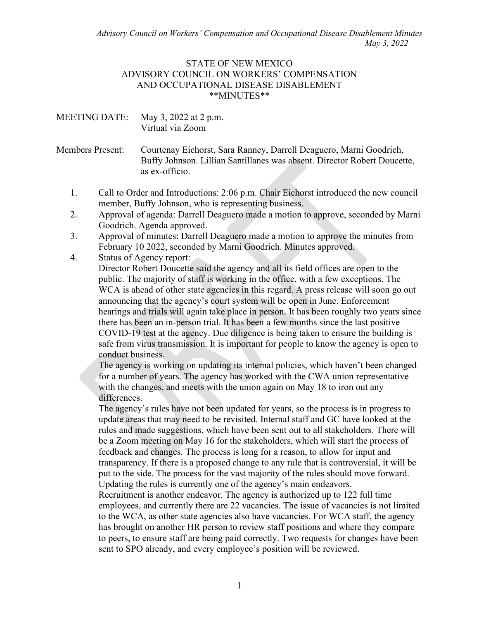*Advisory Council on Workers' Compensation and Occupational Disease Disablement Minutes May 3, 2022*

## STATE OF NEW MEXICO ADVISORY COUNCIL ON WORKERS' COMPENSATION AND OCCUPATIONAL DISEASE DISABLEMENT \*\*MINUTES\*\*

| MEETING DATE: May 3, 2022 at 2 p.m. |
|-------------------------------------|
| Virtual via Zoom                    |

Members Present: Courtenay Eichorst, Sara Ranney, Darrell Deaguero, Marni Goodrich, Buffy Johnson. Lillian Santillanes was absent. Director Robert Doucette, as ex-officio.

- 1. Call to Order and Introductions: 2:06 p.m. Chair Eichorst introduced the new council member, Buffy Johnson, who is representing business.
- 2. Approval of agenda: Darrell Deaguero made a motion to approve, seconded by Marni Goodrich. Agenda approved.
- 3. Approval of minutes: Darrell Deaguero made a motion to approve the minutes from February 10 2022, seconded by Marni Goodrich. Minutes approved.
- 4. Status of Agency report:

Director Robert Doucette said the agency and all its field offices are open to the public. The majority of staff is working in the office, with a few exceptions. The WCA is ahead of other state agencies in this regard. A press release will soon go out announcing that the agency's court system will be open in June. Enforcement hearings and trials will again take place in person. It has been roughly two years since there has been an in-person trial. It has been a few months since the last positive COVID-19 test at the agency. Due diligence is being taken to ensure the building is safe from virus transmission. It is important for people to know the agency is open to conduct business.

The agency is working on updating its internal policies, which haven't been changed for a number of years. The agency has worked with the CWA union representative with the changes, and meets with the union again on May 18 to iron out any differences.

The agency's rules have not been updated for years, so the process is in progress to update areas that may need to be revisited. Internal staff and GC have looked at the rules and made suggestions, which have been sent out to all stakeholders. There will be a Zoom meeting on May 16 for the stakeholders, which will start the process of feedback and changes. The process is long for a reason, to allow for input and transparency. If there is a proposed change to any rule that is controversial, it will be put to the side. The process for the vast majority of the rules should move forward. Updating the rules is currently one of the agency's main endeavors.

Recruitment is another endeavor. The agency is authorized up to 122 full time employees, and currently there are 22 vacancies. The issue of vacancies is not limited to the WCA, as other state agencies also have vacancies. For WCA staff, the agency has brought on another HR person to review staff positions and where they compare to peers, to ensure staff are being paid correctly. Two requests for changes have been sent to SPO already, and every employee's position will be reviewed.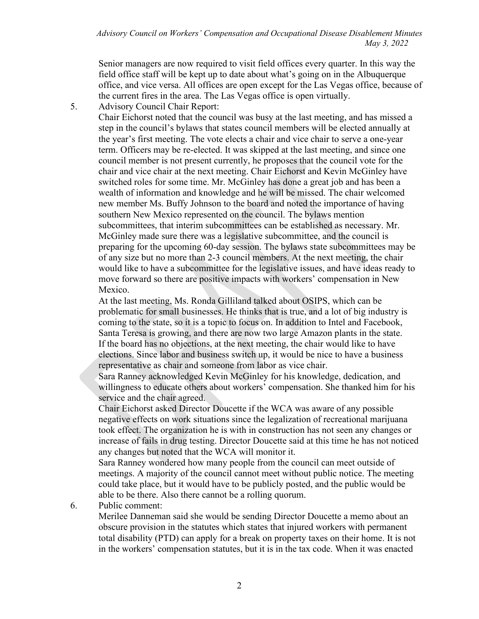Senior managers are now required to visit field offices every quarter. In this way the field office staff will be kept up to date about what's going on in the Albuquerque office, and vice versa. All offices are open except for the Las Vegas office, because of the current fires in the area. The Las Vegas office is open virtually.

5. Advisory Council Chair Report:

Chair Eichorst noted that the council was busy at the last meeting, and has missed a step in the council's bylaws that states council members will be elected annually at the year's first meeting. The vote elects a chair and vice chair to serve a one-year term. Officers may be re-elected. It was skipped at the last meeting, and since one council member is not present currently, he proposes that the council vote for the chair and vice chair at the next meeting. Chair Eichorst and Kevin McGinley have switched roles for some time. Mr. McGinley has done a great job and has been a wealth of information and knowledge and he will be missed. The chair welcomed new member Ms. Buffy Johnson to the board and noted the importance of having southern New Mexico represented on the council. The bylaws mention subcommittees, that interim subcommittees can be established as necessary. Mr. McGinley made sure there was a legislative subcommittee, and the council is preparing for the upcoming 60-day session. The bylaws state subcommittees may be of any size but no more than 2-3 council members. At the next meeting, the chair would like to have a subcommittee for the legislative issues, and have ideas ready to move forward so there are positive impacts with workers' compensation in New Mexico.

At the last meeting, Ms. Ronda Gilliland talked about OSIPS, which can be problematic for small businesses. He thinks that is true, and a lot of big industry is coming to the state, so it is a topic to focus on. In addition to Intel and Facebook, Santa Teresa is growing, and there are now two large Amazon plants in the state. If the board has no objections, at the next meeting, the chair would like to have elections. Since labor and business switch up, it would be nice to have a business representative as chair and someone from labor as vice chair.

Sara Ranney acknowledged Kevin McGinley for his knowledge, dedication, and willingness to educate others about workers' compensation. She thanked him for his service and the chair agreed.

Chair Eichorst asked Director Doucette if the WCA was aware of any possible negative effects on work situations since the legalization of recreational marijuana took effect. The organization he is with in construction has not seen any changes or increase of fails in drug testing. Director Doucette said at this time he has not noticed any changes but noted that the WCA will monitor it.

Sara Ranney wondered how many people from the council can meet outside of meetings. A majority of the council cannot meet without public notice. The meeting could take place, but it would have to be publicly posted, and the public would be able to be there. Also there cannot be a rolling quorum.

## 6. Public comment:

Merilee Danneman said she would be sending Director Doucette a memo about an obscure provision in the statutes which states that injured workers with permanent total disability (PTD) can apply for a break on property taxes on their home. It is not in the workers' compensation statutes, but it is in the tax code. When it was enacted